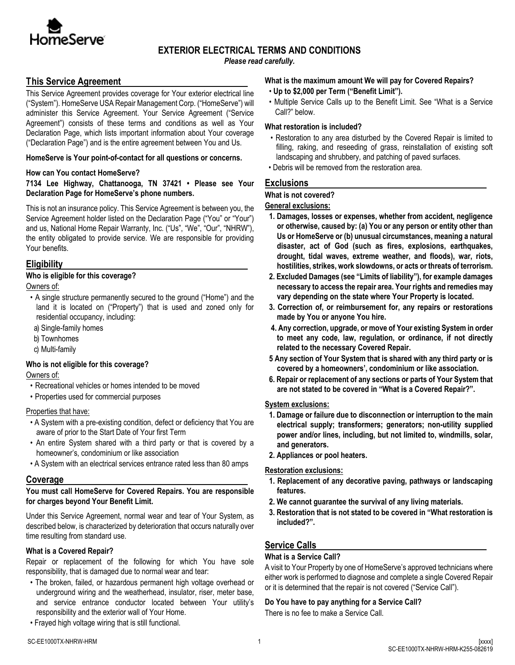

# **EXTERIOR ELECTRICAL TERMS AND CONDITIONS**

*Please read carefully.*

# **This Service Agreement**

This Service Agreement provides coverage for Your exterior electrical line ("System"). HomeServe USA Repair Management Corp. ("HomeServe") will administer this Service Agreement. Your Service Agreement ("Service Agreement") consists of these terms and conditions as well as Your Declaration Page, which lists important information about Your coverage ("Declaration Page") and is the entire agreement between You and Us.

### **HomeServe is Your point-of-contact for all questions or concerns.**

### **How can You contact HomeServe?**

### **7134 Lee Highway, Chattanooga, TN 37421 • Please see Your Declaration Page for HomeServe's phone numbers.**

This is not an insurance policy. This Service Agreement is between you, the Service Agreement holder listed on the Declaration Page ("You" or "Your") and us, National Home Repair Warranty, Inc. ("Us", "We", "Our", "NHRW"), the entity obligated to provide service. We are responsible for providing Your benefits.

# **Eligibility**

# **Who is eligible for this coverage?**

Owners of:

- A single structure permanently secured to the ground ("Home") and the land it is located on ("Property") that is used and zoned only for residential occupancy, including:
- a) Single-family homes
- b) Townhomes
- c) Multi-family

# **Who is not eligible for this coverage?**

Owners of:

- Recreational vehicles or homes intended to be moved
- Properties used for commercial purposes

# Properties that have:

- A System with a pre-existing condition, defect or deficiency that You are aware of prior to the Start Date of Your first Term
- An entire System shared with a third party or that is covered by a homeowner's, condominium or like association
- A System with an electrical services entrance rated less than 80 amps

# **Coverage**

### **You must call HomeServe for Covered Repairs. You are responsible for charges beyond Your Benefit Limit.**

Under this Service Agreement, normal wear and tear of Your System, as described below, is characterized by deterioration that occurs naturally over time resulting from standard use.

# **What is a Covered Repair?**

Repair or replacement of the following for which You have sole responsibility, that is damaged due to normal wear and tear:

- The broken, failed, or hazardous permanent high voltage overhead or underground wiring and the weatherhead, insulator, riser, meter base, and service entrance conductor located between Your utility's responsibility and the exterior wall of Your Home.
- Frayed high voltage wiring that is still functional.

### **What is the maximum amount We will pay for Covered Repairs?**

- **Up to \$2,000 per Term ("Benefit Limit").**
- Multiple Service Calls up to the Benefit Limit. See "What is a Service Call?" below.

### **What restoration is included?**

- Restoration to any area disturbed by the Covered Repair is limited to filling, raking, and reseeding of grass, reinstallation of existing soft landscaping and shrubbery, and patching of paved surfaces.
- Debris will be removed from the restoration area.

# **Exclusions**

# **What is not covered?**

### **General exclusions:**

- **1. Damages, losses or expenses, whether from accident, negligence or otherwise, caused by: (a) You or any person or entity other than Us or HomeServe or (b) unusual circumstances, meaning a natural disaster, act of God (such as fires, explosions, earthquakes, drought, tidal waves, extreme weather, and floods), war, riots, hostilities, strikes, work slowdowns, or acts or threats of terrorism.**
- **2. Excluded Damages (see "Limits of liability"), for example damages necessary to access the repair area. Your rights and remedies may vary depending on the state where Your Property is located.**
- **3. Correction of, or reimbursement for, any repairs or restorations made by You or anyone You hire.**
- **4. Any correction, upgrade, or move of Your existing System in order to meet any code, law, regulation, or ordinance, if not directly related to the necessary Covered Repair.**
- **5 Any section of Your System that is shared with any third party or is covered by a homeowners', condominium or like association.**
- **6. Repair or replacement of any sections or parts of Your System that are not stated to be covered in "What is a Covered Repair?".**

### **System exclusions:**

- **1. Damage or failure due to disconnection or interruption to the main electrical supply; transformers; generators; non-utility supplied power and/or lines, including, but not limited to, windmills, solar, and generators.**
- **2. Appliances or pool heaters.**

# **Restoration exclusions:**

- **1. Replacement of any decorative paving, pathways or landscaping features.**
- **2. We cannot guarantee the survival of any living materials.**
- **3. Restoration that is not stated to be covered in "What restoration is included?".**

# **Service Calls**

# **What is a Service Call?**

A visit to Your Property by one of HomeServe's approved technicians where either work is performed to diagnose and complete a single Covered Repair or it is determined that the repair is not covered ("Service Call").

# **Do You have to pay anything for a Service Call?**

There is no fee to make a Service Call.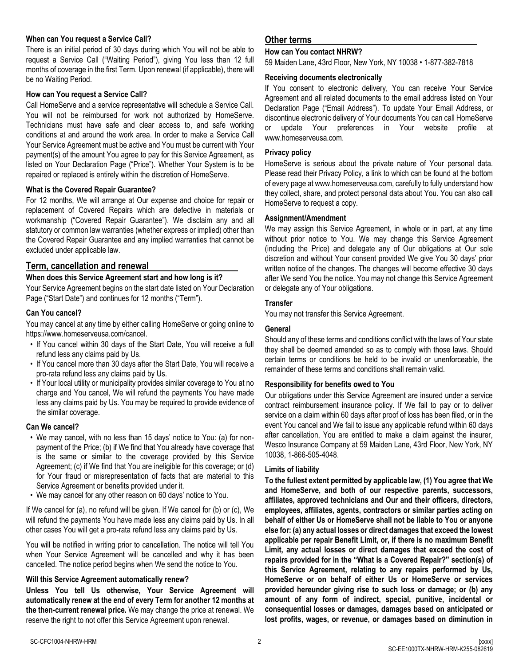### **When can You request a Service Call?**

There is an initial period of 30 days during which You will not be able to request a Service Call ("Waiting Period"), giving You less than 12 full months of coverage in the first Term. Upon renewal (if applicable), there will be no Waiting Period.

### **How can You request a Service Call?**

Call HomeServe and a service representative will schedule a Service Call. You will not be reimbursed for work not authorized by HomeServe. Technicians must have safe and clear access to, and safe working conditions at and around the work area. In order to make a Service Call Your Service Agreement must be active and You must be current with Your payment(s) of the amount You agree to pay for this Service Agreement, as listed on Your Declaration Page ("Price"). Whether Your System is to be repaired or replaced is entirely within the discretion of HomeServe.

#### **What is the Covered Repair Guarantee?**

For 12 months, We will arrange at Our expense and choice for repair or replacement of Covered Repairs which are defective in materials or workmanship ("Covered Repair Guarantee"). We disclaim any and all statutory or common law warranties (whether express or implied) other than the Covered Repair Guarantee and any implied warranties that cannot be excluded under applicable law.

### **Term, cancellation and renewal**

#### **When does this Service Agreement start and how long is it?**

Your Service Agreement begins on the start date listed on Your Declaration Page ("Start Date") and continues for 12 months ("Term").

### **Can You cancel?**

You may cancel at any time by either calling HomeServe or going online to https://www.homeserveusa.com/cancel.

- If You cancel within 30 days of the Start Date, You will receive a full refund less any claims paid by Us.
- If You cancel more than 30 days after the Start Date, You will receive a pro-rata refund less any claims paid by Us.
- If Your local utility or municipality provides similar coverage to You at no charge and You cancel, We will refund the payments You have made less any claims paid by Us. You may be required to provide evidence of the similar coverage.

#### **Can We cancel?**

- We may cancel, with no less than 15 days' notice to You: (a) for nonpayment of the Price; (b) if We find that You already have coverage that is the same or similar to the coverage provided by this Service Agreement; (c) if We find that You are ineligible for this coverage; or (d) for Your fraud or misrepresentation of facts that are material to this Service Agreement or benefits provided under it.
- We may cancel for any other reason on 60 days' notice to You.

If We cancel for (a), no refund will be given. If We cancel for (b) or (c), We will refund the payments You have made less any claims paid by Us. In all other cases You will get a pro-rata refund less any claims paid by Us.

You will be notified in writing prior to cancellation. The notice will tell You when Your Service Agreement will be cancelled and why it has been cancelled. The notice period begins when We send the notice to You.

#### **Will this Service Agreement automatically renew?**

**Unless You tell Us otherwise, Your Service Agreement will automatically renew at the end of every Term for another 12 months at the then-current renewal price.** We may change the price at renewal. We reserve the right to not offer this Service Agreement upon renewal.

### **Other terms**

#### **How can You contact NHRW?**

59 Maiden Lane, 43rd Floor, New York, NY 10038 • 1-877-382-7818

#### **Receiving documents electronically**

If You consent to electronic delivery, You can receive Your Service Agreement and all related documents to the email address listed on Your Declaration Page ("Email Address"). To update Your Email Address, or discontinue electronic delivery of Your documents You can call HomeServe or update Your preferences in Your website profile at www.homeserveusa.com.

### **Privacy policy**

HomeServe is serious about the private nature of Your personal data. Please read their Privacy Policy, a link to which can be found at the bottom of every page at www.homeserveusa.com, carefully to fully understand how they collect, share, and protect personal data about You. You can also call HomeServe to request a copy.

#### **Assignment/Amendment**

We may assign this Service Agreement, in whole or in part, at any time without prior notice to You. We may change this Service Agreement (including the Price) and delegate any of Our obligations at Our sole discretion and without Your consent provided We give You 30 days' prior written notice of the changes. The changes will become effective 30 days after We send You the notice. You may not change this Service Agreement or delegate any of Your obligations.

#### **Transfer**

You may not transfer this Service Agreement.

#### **General**

Should any of these terms and conditions conflict with the laws of Your state they shall be deemed amended so as to comply with those laws. Should certain terms or conditions be held to be invalid or unenforceable, the remainder of these terms and conditions shall remain valid.

#### **Responsibility for benefits owed to You**

Our obligations under this Service Agreement are insured under a service contract reimbursement insurance policy. If We fail to pay or to deliver service on a claim within 60 days after proof of loss has been filed, or in the event You cancel and We fail to issue any applicable refund within 60 days after cancellation, You are entitled to make a claim against the insurer, Wesco Insurance Company at 59 Maiden Lane, 43rd Floor, New York, NY 10038, 1-866-505-4048.

#### **Limits of liability**

**To the fullest extent permitted by applicable law, (1) You agree that We and HomeServe, and both of our respective parents, successors, affiliates, approved technicians and Our and their officers, directors, employees, affiliates, agents, contractors or similar parties acting on behalf of either Us or HomeServe shall not be liable to You or anyone else for: (a) any actual losses or direct damages that exceed the lowest applicable per repair Benefit Limit, or, if there is no maximum Benefit Limit, any actual losses or direct damages that exceed the cost of repairs provided for in the "What is a Covered Repair?" section(s) of this Service Agreement, relating to any repairs performed by Us, HomeServe or on behalf of either Us or HomeServe or services provided hereunder giving rise to such loss or damage; or (b) any amount of any form of indirect, special, punitive, incidental or consequential losses or damages, damages based on anticipated or lost profits, wages, or revenue, or damages based on diminution in**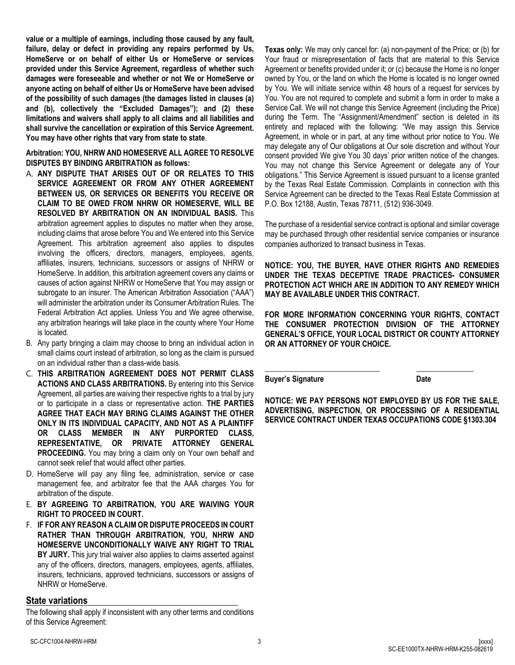**value or a multiple of earnings, including those caused by any fault, failure, delay or defect in providing any repairs performed by Us, HomeServe or on behalf of either Us or HomeServe or services provided under this Service Agreement, regardless of whether such damages were foreseeable and whether or not We or HomeServe or anyone acting on behalf of either Us or HomeServe have been advised of the possibility of such damages (the damages listed in clauses (a) and (b), collectively the "Excluded Damages"); and (2) these limitations and waivers shall apply to all claims and all liabilities and shall survive the cancellation or expiration of this Service Agreement. You may have other rights that vary from state to state**.

**Arbitration: YOU, NHRW AND HOMESERVE ALL AGREE TO RESOLVE DISPUTES BY BINDING ARBITRATION as follows:** 

- A. **ANY DISPUTE THAT ARISES OUT OF OR RELATES TO THIS SERVICE AGREEMENT OR FROM ANY OTHER AGREEMENT BETWEEN US, OR SERVICES OR BENEFITS YOU RECEIVE OR CLAIM TO BE OWED FROM NHRW OR HOMESERVE, WILL BE RESOLVED BY ARBITRATION ON AN INDIVIDUAL BASIS.** This arbitration agreement applies to disputes no matter when they arose, including claims that arose before You and We entered into this Service Agreement. This arbitration agreement also applies to disputes involving the officers, directors, managers, employees, agents, affiliates, insurers, technicians, successors or assigns of NHRW or HomeServe. In addition, this arbitration agreement covers any claims or causes of action against NHRW or HomeServe that You may assign or subrogate to an insurer. The American Arbitration Association ("AAA") will administer the arbitration under its Consumer Arbitration Rules. The Federal Arbitration Act applies. Unless You and We agree otherwise, any arbitration hearings will take place in the county where Your Home is located.
- B. Any party bringing a claim may choose to bring an individual action in small claims court instead of arbitration, so long as the claim is pursued on an individual rather than a class-wide basis.
- C. **THIS ARBITRATION AGREEMENT DOES NOT PERMIT CLASS ACTIONS AND CLASS ARBITRATIONS.** By entering into this Service Agreement, all parties are waiving their respective rights to a trial by jury or to participate in a class or representative action. **THE PARTIES AGREE THAT EACH MAY BRING CLAIMS AGAINST THE OTHER ONLY IN ITS INDIVIDUAL CAPACITY, AND NOT AS A PLAINTIFF OR CLASS MEMBER IN ANY PURPORTED CLASS, REPRESENTATIVE, OR PRIVATE ATTORNEY GENERAL PROCEEDING.** You may bring a claim only on Your own behalf and cannot seek relief that would affect other parties.
- D. HomeServe will pay any filing fee, administration, service or case management fee, and arbitrator fee that the AAA charges You for arbitration of the dispute.
- E. **BY AGREEING TO ARBITRATION, YOU ARE WAIVING YOUR RIGHT TO PROCEED IN COURT.**
- F. **IF FOR ANY REASON A CLAIM OR DISPUTE PROCEEDS IN COURT RATHER THAN THROUGH ARBITRATION, YOU, NHRW AND HOMESERVE UNCONDITIONALLY WAIVE ANY RIGHT TO TRIAL BY JURY.** This jury trial waiver also applies to claims asserted against any of the officers, directors, managers, employees, agents, affiliates, insurers, technicians, approved technicians, successors or assigns of NHRW or HomeServe.

# **State variations**

The following shall apply if inconsistent with any other terms and conditions of this Service Agreement:

**Texas only:** We may only cancel for: (a) non-payment of the Price; or (b) for Your fraud or misrepresentation of facts that are material to this Service Agreement or benefits provided under it; or (c) because the Home is no longer owned by You, or the land on which the Home is located is no longer owned by You. We will initiate service within 48 hours of a request for services by You. You are not required to complete and submit a form in order to make a Service Call. We will not change this Service Agreement (including the Price) during the Term. The "Assignment/Amendment" section is deleted in its entirety and replaced with the following: "We may assign this Service Agreement, in whole or in part, at any time without prior notice to You. We may delegate any of Our obligations at Our sole discretion and without Your consent provided We give You 30 days' prior written notice of the changes. You may not change this Service Agreement or delegate any of Your obligations." This Service Agreement is issued pursuant to a license granted by the Texas Real Estate Commission. Complaints in connection with this Service Agreement can be directed to the Texas Real Estate Commission at P.O. Box 12188, Austin, Texas 78711, (512) 936-3049.

The purchase of a residential service contract is optional and similar coverage may be purchased through other residential service companies or insurance companies authorized to transact business in Texas.

**NOTICE: YOU, THE BUYER, HAVE OTHER RIGHTS AND REMEDIES UNDER THE TEXAS DECEPTIVE TRADE PRACTICES- CONSUMER PROTECTION ACT WHICH ARE IN ADDITION TO ANY REMEDY WHICH MAY BE AVAILABLE UNDER THIS CONTRACT.** 

**FOR MORE INFORMATION CONCERNING YOUR RIGHTS, CONTACT THE CONSUMER PROTECTION DIVISION OF THE ATTORNEY GENERAL'S OFFICE, YOUR LOCAL DISTRICT OR COUNTY ATTORNEY OR AN ATTORNEY OF YOUR CHOICE.**

**Buyer's Signature Date** 

**NOTICE: WE PAY PERSONS NOT EMPLOYED BY US FOR THE SALE, ADVERTISING, INSPECTION, OR PROCESSING OF A RESIDENTIAL SERVICE CONTRACT UNDER TEXAS OCCUPATIONS CODE §1303.304**

**\_\_\_\_\_\_\_\_\_\_\_\_\_\_\_\_\_\_\_\_\_\_\_\_\_\_\_\_\_\_ \_\_\_\_\_\_\_\_\_\_\_\_\_\_\_**